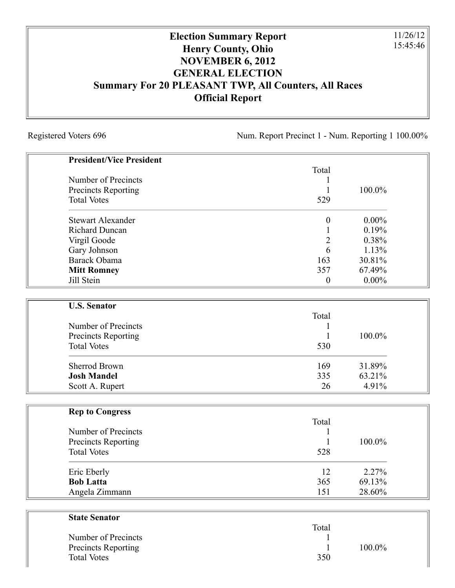## **Election Summary Report Henry County, Ohio NOVEMBER 6, 2012 GENERAL ELECTION Summary For 20 PLEASANT TWP, All Counters, All Races Official Report**

Registered Voters 696 Num. Report Precinct 1 - Num. Reporting 1 100.00%

11/26/12 15:45:46

| <b>President/Vice President</b> |                |          |
|---------------------------------|----------------|----------|
|                                 | Total          |          |
| Number of Precincts             |                |          |
| Precincts Reporting             |                | 100.0%   |
| <b>Total Votes</b>              | 529            |          |
| <b>Stewart Alexander</b>        | 0              | $0.00\%$ |
| <b>Richard Duncan</b>           |                | 0.19%    |
| Virgil Goode                    | $\overline{2}$ | 0.38%    |
| Gary Johnson                    | 6              | 1.13%    |
| Barack Obama                    | 163            | 30.81%   |
| <b>Mitt Romney</b>              | 357            | 67.49%   |
| Jill Stein                      | 0              | $0.00\%$ |
| <b>U.S. Senator</b>             |                |          |
|                                 | Total          |          |
| Number of Precincts             |                |          |
| Precincts Reporting             | 1              | 100.0%   |
| <b>Total Votes</b>              | 530            |          |
| Sherrod Brown                   | 169            | 31.89%   |
| <b>Josh Mandel</b>              | 335            | 63.21%   |
| Scott A. Rupert                 | 26             | 4.91%    |
|                                 |                |          |
| <b>Rep to Congress</b>          | Total          |          |
| Number of Precincts             | 1              |          |
| Precincts Reporting             | 1              | 100.0%   |
| <b>Total Votes</b>              | 528            |          |
| Eric Eberly                     | 12             | 2.27%    |
| <b>Bob Latta</b>                | 365            | 69.13%   |
| Angela Zimmann                  | 151            | 28.60%   |
|                                 |                |          |
| <b>State Senator</b>            |                |          |
|                                 | Total          |          |
| Number of Precincts             |                |          |

Precincts Reporting 1 100.0%

Total Votes 350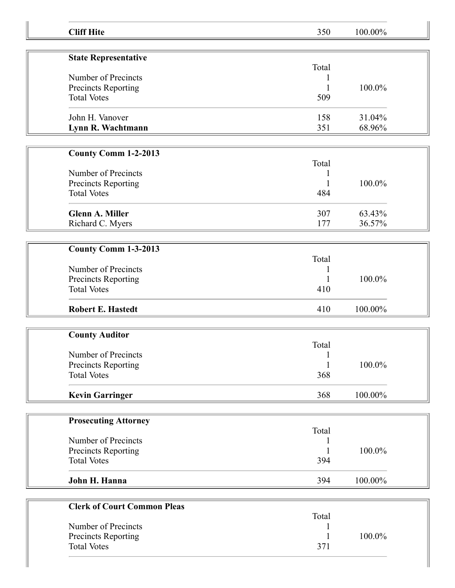| <b>Cliff Hite</b>                  | 350   | 100.00% |
|------------------------------------|-------|---------|
| <b>State Representative</b>        |       |         |
|                                    | Total |         |
| Number of Precincts                |       |         |
| Precincts Reporting                |       | 100.0%  |
| <b>Total Votes</b>                 | 509   |         |
|                                    |       |         |
| John H. Vanover                    | 158   | 31.04%  |
| Lynn R. Wachtmann                  | 351   | 68.96%  |
|                                    |       |         |
| <b>County Comm 1-2-2013</b>        |       |         |
|                                    | Total |         |
| Number of Precincts                |       |         |
| Precincts Reporting                |       | 100.0%  |
| <b>Total Votes</b>                 | 484   |         |
|                                    |       |         |
| <b>Glenn A. Miller</b>             | 307   | 63.43%  |
| Richard C. Myers                   | 177   | 36.57%  |
|                                    |       |         |
| County Comm 1-3-2013               |       |         |
|                                    | Total |         |
| Number of Precincts                |       |         |
| Precincts Reporting                |       | 100.0%  |
| <b>Total Votes</b>                 | 410   |         |
| <b>Robert E. Hastedt</b>           | 410   | 100.00% |
| <b>County Auditor</b>              |       |         |
|                                    | Total |         |
| Number of Precincts                | 1     |         |
| Precincts Reporting                |       | 100.0%  |
| <b>Total Votes</b>                 | 368   |         |
|                                    |       |         |
| <b>Kevin Garringer</b>             | 368   | 100.00% |
| <b>Prosecuting Attorney</b>        |       |         |
|                                    | Total |         |
| Number of Precincts                | 1     |         |
| Precincts Reporting                |       | 100.0%  |
| <b>Total Votes</b>                 | 394   |         |
|                                    |       |         |
| John H. Hanna                      | 394   | 100.00% |
| <b>Clerk of Court Common Pleas</b> |       |         |
|                                    | Total |         |
| Number of Precincts                |       |         |
|                                    |       |         |
| Precincts Reporting                |       | 100.0%  |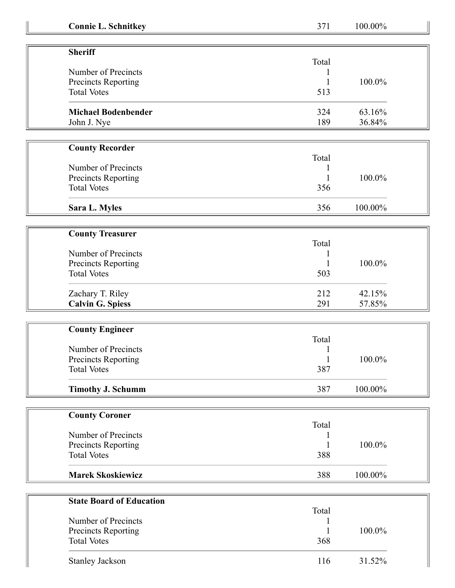| <b>Connie L. Schnitkey</b>                | 371          | 100.00% |
|-------------------------------------------|--------------|---------|
| <b>Sheriff</b>                            |              |         |
|                                           | Total        |         |
| Number of Precincts                       |              |         |
| Precincts Reporting                       | 1            | 100.0%  |
| <b>Total Votes</b>                        | 513          |         |
| <b>Michael Bodenbender</b>                | 324          | 63.16%  |
| John J. Nye                               | 189          | 36.84%  |
| <b>County Recorder</b>                    |              |         |
|                                           | Total        |         |
| Number of Precincts                       |              |         |
| Precincts Reporting                       | 1            | 100.0%  |
| <b>Total Votes</b>                        | 356          |         |
|                                           |              |         |
| Sara L. Myles                             | 356          | 100.00% |
|                                           |              |         |
| <b>County Treasurer</b>                   |              |         |
|                                           | Total        |         |
| Number of Precincts                       |              |         |
| Precincts Reporting                       |              | 100.0%  |
| <b>Total Votes</b>                        | 503          |         |
| Zachary T. Riley                          | 212          | 42.15%  |
| <b>Calvin G. Spiess</b>                   | 291          | 57.85%  |
|                                           |              |         |
| <b>County Engineer</b>                    |              |         |
|                                           | Total        |         |
| Number of Precincts                       |              |         |
| <b>Precincts Reporting</b>                | $\mathbf{1}$ | 100.0%  |
| <b>Total Votes</b>                        | 387          |         |
|                                           |              |         |
| <b>Timothy J. Schumm</b>                  | 387          | 100.00% |
|                                           |              |         |
| <b>County Coroner</b>                     | Total        |         |
| Number of Precincts                       |              |         |
|                                           |              |         |
| Precincts Reporting<br><b>Total Votes</b> | 1            | 100.0%  |
|                                           | 388          |         |
| <b>Marek Skoskiewicz</b>                  | 388          | 100.00% |
|                                           |              |         |
| <b>State Board of Education</b>           |              |         |
|                                           | Total        |         |
| Number of Precincts                       |              |         |
| Precincts Reporting                       |              | 100.0%  |
| <b>Total Votes</b>                        | 368          |         |

116 31.52%

Stanley Jackson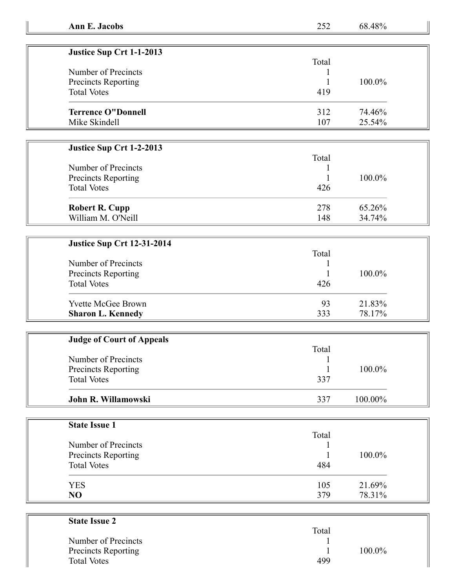| Justice Sup Crt 1-1-2013  |       |        |
|---------------------------|-------|--------|
|                           | Total |        |
| Number of Precincts       |       |        |
| Precincts Reporting       |       | 100.0% |
| <b>Total Votes</b>        | 419   |        |
| <b>Terrence O"Donnell</b> | 312   | 74.46% |
| Mike Skindell             | 107   | 25.54% |

## **Justice Sup Crt 1-2-2013**

| Number of Precincts<br>Precincts Reporting<br><b>Total Votes</b> | Total<br>426 | 100.0% |
|------------------------------------------------------------------|--------------|--------|
| <b>Robert R. Cupp</b>                                            | 278          | 65.26% |
| William M. O'Neill                                               | 148          | 34.74% |

## **Justice Sup Crt 12-31-2014**

| Number of Precincts<br><b>Precincts Reporting</b><br><b>Total Votes</b> | Total<br>426 | $100.0\%$ |
|-------------------------------------------------------------------------|--------------|-----------|
| <b>Yvette McGee Brown</b>                                               | 93           | 21.83%    |
| <b>Sharon L. Kennedy</b>                                                | 333          | 78.17%    |

| <b>Judge of Court of Appeals</b> |       |            |
|----------------------------------|-------|------------|
|                                  | Total |            |
| Number of Precincts              |       |            |
| <b>Precincts Reporting</b>       |       | 100.0%     |
| <b>Total Votes</b>               | 337   |            |
| John R. Willamowski              | 337   | $100.00\%$ |

| <b>State Issue 1</b> |       |        |
|----------------------|-------|--------|
|                      | Total |        |
| Number of Precincts  |       |        |
| Precincts Reporting  |       | 100.0% |
| <b>Total Votes</b>   | 484   |        |
| <b>YES</b>           | 105   | 21.69% |
| NO                   | 379   | 78.31% |

| <b>State Issue 2</b>       |        |
|----------------------------|--------|
|                            | Total  |
| Number of Precincts        |        |
| <b>Precincts Reporting</b> | 100.0% |
| <b>Total Votes</b>         | 499    |